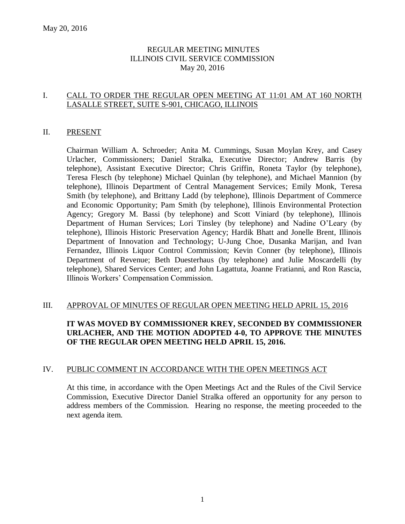### REGULAR MEETING MINUTES ILLINOIS CIVIL SERVICE COMMISSION May 20, 2016

### I. CALL TO ORDER THE REGULAR OPEN MEETING AT 11:01 AM AT 160 NORTH LASALLE STREET, SUITE S-901, CHICAGO, ILLINOIS

### II. PRESENT

Chairman William A. Schroeder; Anita M. Cummings, Susan Moylan Krey, and Casey Urlacher, Commissioners; Daniel Stralka, Executive Director; Andrew Barris (by telephone), Assistant Executive Director; Chris Griffin, Roneta Taylor (by telephone), Teresa Flesch (by telephone) Michael Quinlan (by telephone), and Michael Mannion (by telephone), Illinois Department of Central Management Services; Emily Monk, Teresa Smith (by telephone), and Brittany Ladd (by telephone), Illinois Department of Commerce and Economic Opportunity; Pam Smith (by telephone), Illinois Environmental Protection Agency; Gregory M. Bassi (by telephone) and Scott Viniard (by telephone), Illinois Department of Human Services; Lori Tinsley (by telephone) and Nadine O'Leary (by telephone), Illinois Historic Preservation Agency; Hardik Bhatt and Jonelle Brent, Illinois Department of Innovation and Technology; U-Jung Choe, Dusanka Marijan, and Ivan Fernandez, Illinois Liquor Control Commission; Kevin Conner (by telephone), Illinois Department of Revenue; Beth Duesterhaus (by telephone) and Julie Moscardelli (by telephone), Shared Services Center; and John Lagattuta, Joanne Fratianni, and Ron Rascia, Illinois Workers' Compensation Commission.

### III. APPROVAL OF MINUTES OF REGULAR OPEN MEETING HELD APRIL 15, 2016

## **IT WAS MOVED BY COMMISSIONER KREY, SECONDED BY COMMISSIONER URLACHER, AND THE MOTION ADOPTED 4-0, TO APPROVE THE MINUTES OF THE REGULAR OPEN MEETING HELD APRIL 15, 2016.**

### IV. PUBLIC COMMENT IN ACCORDANCE WITH THE OPEN MEETINGS ACT

At this time, in accordance with the Open Meetings Act and the Rules of the Civil Service Commission, Executive Director Daniel Stralka offered an opportunity for any person to address members of the Commission. Hearing no response, the meeting proceeded to the next agenda item.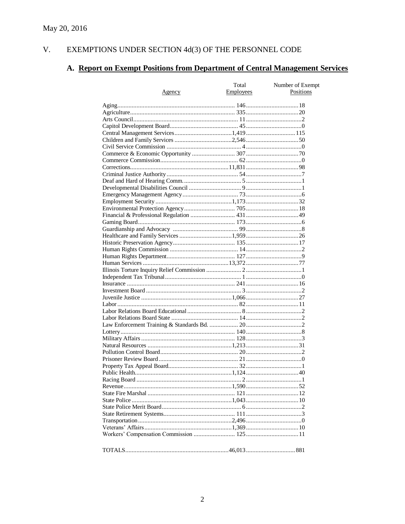#### $V<sub>1</sub>$ EXEMPTIONS UNDER SECTION  $4d(3)$  OF THE PERSONNEL CODE

# A. Report on Exempt Positions from Department of Central Management Services

|        | Total            | Number of Exempt |
|--------|------------------|------------------|
| Agency | <b>Employees</b> | Positions        |
|        |                  |                  |
|        |                  |                  |
|        |                  |                  |
|        |                  |                  |
|        |                  |                  |
|        |                  |                  |
|        |                  |                  |
|        |                  |                  |
|        |                  |                  |
|        |                  |                  |
|        |                  |                  |
|        |                  |                  |
|        |                  |                  |
|        |                  |                  |
|        |                  |                  |
|        |                  |                  |
|        |                  |                  |
|        |                  |                  |
|        |                  |                  |
|        |                  |                  |
|        |                  |                  |
|        |                  |                  |
|        |                  |                  |
|        |                  |                  |
|        |                  |                  |
|        |                  |                  |
|        |                  |                  |
|        |                  |                  |
|        |                  |                  |
|        |                  |                  |
|        |                  |                  |
|        |                  |                  |
|        |                  |                  |
|        |                  |                  |
|        |                  |                  |
|        |                  |                  |
|        |                  |                  |
|        |                  |                  |
|        |                  |                  |
|        |                  |                  |
|        |                  |                  |
|        |                  |                  |
|        |                  |                  |
|        |                  |                  |
|        |                  |                  |
|        |                  |                  |
|        |                  |                  |
|        |                  |                  |
|        |                  |                  |
|        |                  |                  |
|        |                  |                  |
|        |                  |                  |
|        |                  |                  |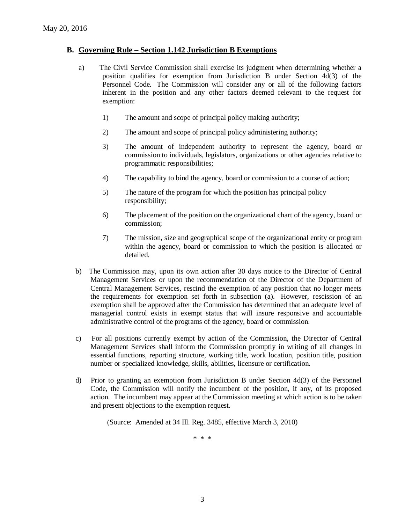### **B. Governing Rule – Section 1.142 Jurisdiction B Exemptions**

- a) The Civil Service Commission shall exercise its judgment when determining whether a position qualifies for exemption from Jurisdiction B under Section 4d(3) of the Personnel Code. The Commission will consider any or all of the following factors inherent in the position and any other factors deemed relevant to the request for exemption:
	- 1) The amount and scope of principal policy making authority;
	- 2) The amount and scope of principal policy administering authority;
	- 3) The amount of independent authority to represent the agency, board or commission to individuals, legislators, organizations or other agencies relative to programmatic responsibilities;
	- 4) The capability to bind the agency, board or commission to a course of action;
	- 5) The nature of the program for which the position has principal policy responsibility;
	- 6) The placement of the position on the organizational chart of the agency, board or commission;
	- 7) The mission, size and geographical scope of the organizational entity or program within the agency, board or commission to which the position is allocated or detailed.
- b) The Commission may, upon its own action after 30 days notice to the Director of Central Management Services or upon the recommendation of the Director of the Department of Central Management Services, rescind the exemption of any position that no longer meets the requirements for exemption set forth in subsection (a). However, rescission of an exemption shall be approved after the Commission has determined that an adequate level of managerial control exists in exempt status that will insure responsive and accountable administrative control of the programs of the agency, board or commission.
- c) For all positions currently exempt by action of the Commission, the Director of Central Management Services shall inform the Commission promptly in writing of all changes in essential functions, reporting structure, working title, work location, position title, position number or specialized knowledge, skills, abilities, licensure or certification.
- d) Prior to granting an exemption from Jurisdiction B under Section 4d(3) of the Personnel Code, the Commission will notify the incumbent of the position, if any, of its proposed action. The incumbent may appear at the Commission meeting at which action is to be taken and present objections to the exemption request.

(Source: Amended at 34 Ill. Reg. 3485, effective March 3, 2010)

\* \* \*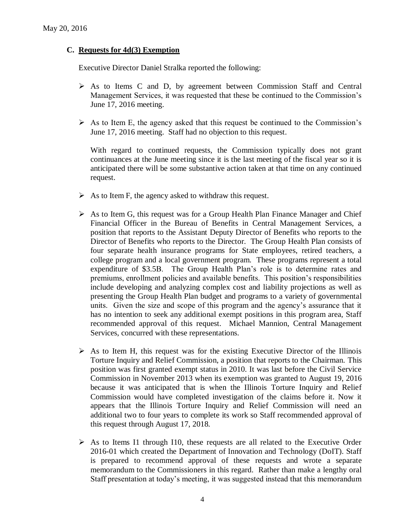### **C. Requests for 4d(3) Exemption**

Executive Director Daniel Stralka reported the following:

- As to Items C and D, by agreement between Commission Staff and Central Management Services, it was requested that these be continued to the Commission's June 17, 2016 meeting.
- $\triangleright$  As to Item E, the agency asked that this request be continued to the Commission's June 17, 2016 meeting. Staff had no objection to this request.

With regard to continued requests, the Commission typically does not grant continuances at the June meeting since it is the last meeting of the fiscal year so it is anticipated there will be some substantive action taken at that time on any continued request.

- $\triangleright$  As to Item F, the agency asked to withdraw this request.
- $\triangleright$  As to Item G, this request was for a Group Health Plan Finance Manager and Chief Financial Officer in the Bureau of Benefits in Central Management Services, a position that reports to the Assistant Deputy Director of Benefits who reports to the Director of Benefits who reports to the Director. The Group Health Plan consists of four separate health insurance programs for State employees, retired teachers, a college program and a local government program. These programs represent a total expenditure of \$3.5B. The Group Health Plan's role is to determine rates and premiums, enrollment policies and available benefits. This position's responsibilities include developing and analyzing complex cost and liability projections as well as presenting the Group Health Plan budget and programs to a variety of governmental units. Given the size and scope of this program and the agency's assurance that it has no intention to seek any additional exempt positions in this program area, Staff recommended approval of this request. Michael Mannion, Central Management Services, concurred with these representations.
- $\triangleright$  As to Item H, this request was for the existing Executive Director of the Illinois Torture Inquiry and Relief Commission, a position that reports to the Chairman. This position was first granted exempt status in 2010. It was last before the Civil Service Commission in November 2013 when its exemption was granted to August 19, 2016 because it was anticipated that is when the Illinois Torture Inquiry and Relief Commission would have completed investigation of the claims before it. Now it appears that the Illinois Torture Inquiry and Relief Commission will need an additional two to four years to complete its work so Staff recommended approval of this request through August 17, 2018.
- $\triangleright$  As to Items I1 through I10, these requests are all related to the Executive Order 2016-01 which created the Department of Innovation and Technology (DoIT). Staff is prepared to recommend approval of these requests and wrote a separate memorandum to the Commissioners in this regard. Rather than make a lengthy oral Staff presentation at today's meeting, it was suggested instead that this memorandum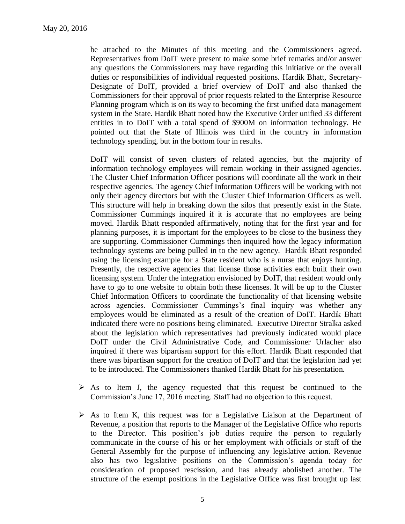be attached to the Minutes of this meeting and the Commissioners agreed. Representatives from DoIT were present to make some brief remarks and/or answer any questions the Commissioners may have regarding this initiative or the overall duties or responsibilities of individual requested positions. Hardik Bhatt, Secretary-Designate of DoIT, provided a brief overview of DoIT and also thanked the Commissioners for their approval of prior requests related to the Enterprise Resource Planning program which is on its way to becoming the first unified data management system in the State. Hardik Bhatt noted how the Executive Order unified 33 different entities in to DoIT with a total spend of \$900M on information technology. He pointed out that the State of Illinois was third in the country in information technology spending, but in the bottom four in results.

DoIT will consist of seven clusters of related agencies, but the majority of information technology employees will remain working in their assigned agencies. The Cluster Chief Information Officer positions will coordinate all the work in their respective agencies. The agency Chief Information Officers will be working with not only their agency directors but with the Cluster Chief Information Officers as well. This structure will help in breaking down the silos that presently exist in the State. Commissioner Cummings inquired if it is accurate that no employees are being moved. Hardik Bhatt responded affirmatively, noting that for the first year and for planning purposes, it is important for the employees to be close to the business they are supporting. Commissioner Cummings then inquired how the legacy information technology systems are being pulled in to the new agency. Hardik Bhatt responded using the licensing example for a State resident who is a nurse that enjoys hunting. Presently, the respective agencies that license those activities each built their own licensing system. Under the integration envisioned by DoIT, that resident would only have to go to one website to obtain both these licenses. It will be up to the Cluster Chief Information Officers to coordinate the functionality of that licensing website across agencies. Commissioner Cummings's final inquiry was whether any employees would be eliminated as a result of the creation of DoIT. Hardik Bhatt indicated there were no positions being eliminated. Executive Director Stralka asked about the legislation which representatives had previously indicated would place DoIT under the Civil Administrative Code, and Commissioner Urlacher also inquired if there was bipartisan support for this effort. Hardik Bhatt responded that there was bipartisan support for the creation of DoIT and that the legislation had yet to be introduced. The Commissioners thanked Hardik Bhatt for his presentation.

- $\triangleright$  As to Item J, the agency requested that this request be continued to the Commission's June 17, 2016 meeting. Staff had no objection to this request.
- $\triangleright$  As to Item K, this request was for a Legislative Liaison at the Department of Revenue, a position that reports to the Manager of the Legislative Office who reports to the Director. This position's job duties require the person to regularly communicate in the course of his or her employment with officials or staff of the General Assembly for the purpose of influencing any legislative action. Revenue also has two legislative positions on the Commission's agenda today for consideration of proposed rescission, and has already abolished another. The structure of the exempt positions in the Legislative Office was first brought up last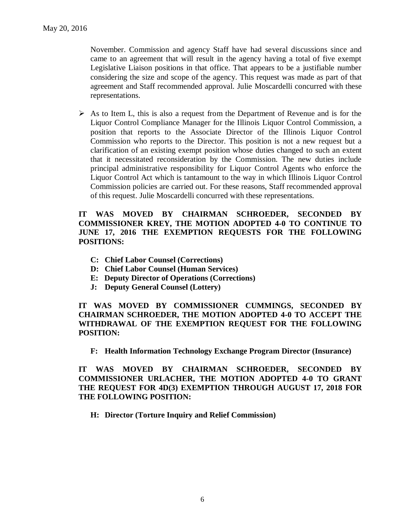November. Commission and agency Staff have had several discussions since and came to an agreement that will result in the agency having a total of five exempt Legislative Liaison positions in that office. That appears to be a justifiable number considering the size and scope of the agency. This request was made as part of that agreement and Staff recommended approval. Julie Moscardelli concurred with these representations.

 $\triangleright$  As to Item L, this is also a request from the Department of Revenue and is for the Liquor Control Compliance Manager for the Illinois Liquor Control Commission, a position that reports to the Associate Director of the Illinois Liquor Control Commission who reports to the Director. This position is not a new request but a clarification of an existing exempt position whose duties changed to such an extent that it necessitated reconsideration by the Commission. The new duties include principal administrative responsibility for Liquor Control Agents who enforce the Liquor Control Act which is tantamount to the way in which Illinois Liquor Control Commission policies are carried out. For these reasons, Staff recommended approval of this request. Julie Moscardelli concurred with these representations.

### **IT WAS MOVED BY CHAIRMAN SCHROEDER, SECONDED BY COMMISSIONER KREY, THE MOTION ADOPTED 4-0 TO CONTINUE TO JUNE 17, 2016 THE EXEMPTION REQUESTS FOR THE FOLLOWING POSITIONS:**

- **C: Chief Labor Counsel (Corrections)**
- **D: Chief Labor Counsel (Human Services)**
- **E: Deputy Director of Operations (Corrections)**
- **J: Deputy General Counsel (Lottery)**

**IT WAS MOVED BY COMMISSIONER CUMMINGS, SECONDED BY CHAIRMAN SCHROEDER, THE MOTION ADOPTED 4-0 TO ACCEPT THE WITHDRAWAL OF THE EXEMPTION REQUEST FOR THE FOLLOWING POSITION:**

**F: Health Information Technology Exchange Program Director (Insurance)**

**IT WAS MOVED BY CHAIRMAN SCHROEDER, SECONDED BY COMMISSIONER URLACHER, THE MOTION ADOPTED 4-0 TO GRANT THE REQUEST FOR 4D(3) EXEMPTION THROUGH AUGUST 17, 2018 FOR THE FOLLOWING POSITION:**

**H: Director (Torture Inquiry and Relief Commission)**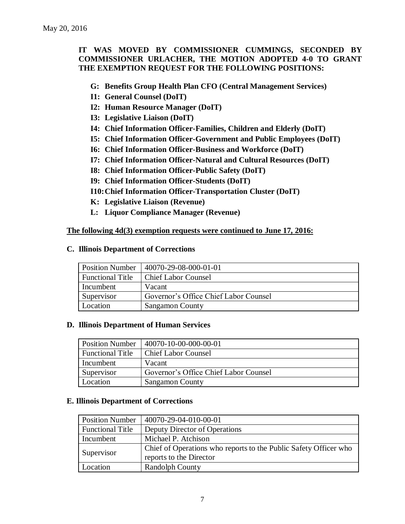### **IT WAS MOVED BY COMMISSIONER CUMMINGS, SECONDED BY COMMISSIONER URLACHER, THE MOTION ADOPTED 4-0 TO GRANT THE EXEMPTION REQUEST FOR THE FOLLOWING POSITIONS:**

- **G: Benefits Group Health Plan CFO (Central Management Services)**
- **I1: General Counsel (DoIT)**
- **I2: Human Resource Manager (DoIT)**
- **I3: Legislative Liaison (DoIT)**
- **I4: Chief Information Officer-Families, Children and Elderly (DoIT)**
- **I5: Chief Information Officer-Government and Public Employees (DoIT)**
- **I6: Chief Information Officer-Business and Workforce (DoIT)**
- **I7: Chief Information Officer-Natural and Cultural Resources (DoIT)**
- **I8: Chief Information Officer-Public Safety (DoIT)**
- **I9: Chief Information Officer-Students (DoIT)**
- **I10:Chief Information Officer-Transportation Cluster (DoIT)**
- **K: Legislative Liaison (Revenue)**
- **L: Liquor Compliance Manager (Revenue)**

### **The following 4d(3) exemption requests were continued to June 17, 2016:**

#### **C. Illinois Department of Corrections**

| <b>Position Number</b>  | 40070-29-08-000-01-01                 |
|-------------------------|---------------------------------------|
| <b>Functional Title</b> | <b>Chief Labor Counsel</b>            |
| Incumbent               | Vacant                                |
| Supervisor              | Governor's Office Chief Labor Counsel |
| Location                | <b>Sangamon County</b>                |

### **D. Illinois Department of Human Services**

| <b>Position Number</b>  | 40070-10-00-000-00-01                 |
|-------------------------|---------------------------------------|
| <b>Functional Title</b> | <b>Chief Labor Counsel</b>            |
| Incumbent               | Vacant                                |
| Supervisor              | Governor's Office Chief Labor Counsel |
| Location                | <b>Sangamon County</b>                |

### **E. Illinois Department of Corrections**

| <b>Position Number</b>  | 40070-29-04-010-00-01                                            |
|-------------------------|------------------------------------------------------------------|
| <b>Functional Title</b> | Deputy Director of Operations                                    |
| Incumbent               | Michael P. Atchison                                              |
| Supervisor              | Chief of Operations who reports to the Public Safety Officer who |
|                         | reports to the Director                                          |
| Location                | <b>Randolph County</b>                                           |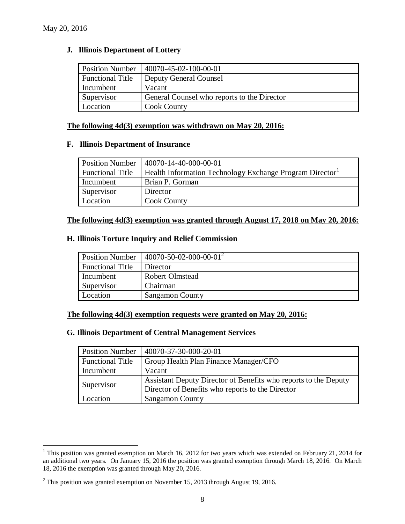$\overline{a}$ 

### **J. Illinois Department of Lottery**

| <b>Position Number</b>  | 40070-45-02-100-00-01                       |
|-------------------------|---------------------------------------------|
| <b>Functional Title</b> | <b>Deputy General Counsel</b>               |
| Incumbent               | Vacant                                      |
| Supervisor              | General Counsel who reports to the Director |
| Location                | <b>Cook County</b>                          |

#### **The following 4d(3) exemption was withdrawn on May 20, 2016:**

#### **F. Illinois Department of Insurance**

| <b>Position Number</b>  | 40070-14-40-000-00-01                                    |
|-------------------------|----------------------------------------------------------|
| <b>Functional Title</b> | Health Information Technology Exchange Program Director' |
| Incumbent               | Brian P. Gorman                                          |
| Supervisor              | Director                                                 |
| Location                | <b>Cook County</b>                                       |

### **The following 4d(3) exemption was granted through August 17, 2018 on May 20, 2016:**

### **H. Illinois Torture Inquiry and Relief Commission**

| <b>Position Number</b>  | $140070 - 50 - 02 - 000 - 00 - 01^2$ |
|-------------------------|--------------------------------------|
| <b>Functional Title</b> | Director                             |
| Incumbent               | <b>Robert Olmstead</b>               |
| Supervisor              | Chairman                             |
| Location                | Sangamon County                      |

#### **The following 4d(3) exemption requests were granted on May 20, 2016:**

### **G. Illinois Department of Central Management Services**

| <b>Position Number</b>  | 40070-37-30-000-20-01                                           |
|-------------------------|-----------------------------------------------------------------|
| <b>Functional Title</b> | Group Health Plan Finance Manager/CFO                           |
| Incumbent               | Vacant                                                          |
| Supervisor              | Assistant Deputy Director of Benefits who reports to the Deputy |
|                         | Director of Benefits who reports to the Director                |
| Location                | <b>Sangamon County</b>                                          |

<sup>&</sup>lt;sup>1</sup> This position was granted exemption on March 16, 2012 for two years which was extended on February 21, 2014 for an additional two years. On January 15, 2016 the position was granted exemption through March 18, 2016. On March 18, 2016 the exemption was granted through May 20, 2016.

<sup>&</sup>lt;sup>2</sup> This position was granted exemption on November 15, 2013 through August 19, 2016.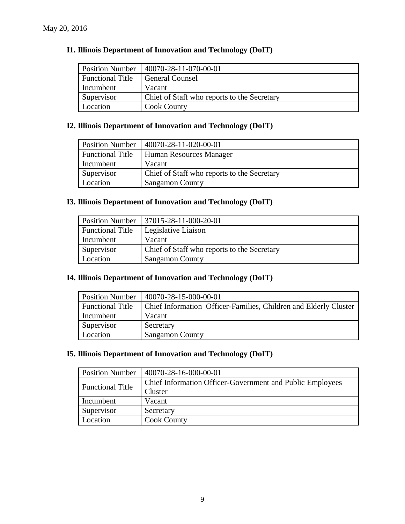| <b>Position Number</b>  | $140070 - 28 - 11 - 070 - 00 - 01$          |
|-------------------------|---------------------------------------------|
| <b>Functional Title</b> | <b>General Counsel</b>                      |
| Incumbent               | Vacant                                      |
| Supervisor              | Chief of Staff who reports to the Secretary |
| Location                | <b>Cook County</b>                          |

### **I1. Illinois Department of Innovation and Technology (DoIT)**

## **I2. Illinois Department of Innovation and Technology (DoIT)**

| <b>Position Number</b>  | 40070-28-11-020-00-01                       |
|-------------------------|---------------------------------------------|
| <b>Functional Title</b> | <b>Human Resources Manager</b>              |
| Incumbent               | Vacant                                      |
| Supervisor              | Chief of Staff who reports to the Secretary |
| Location                | <b>Sangamon County</b>                      |

### **I3. Illinois Department of Innovation and Technology (DoIT)**

| <b>Position Number</b>  | $\mid$ 37015-28-11-000-20-01                |
|-------------------------|---------------------------------------------|
| <b>Functional Title</b> | Legislative Liaison                         |
| Incumbent               | Vacant                                      |
| Supervisor              | Chief of Staff who reports to the Secretary |
| Location                | <b>Sangamon County</b>                      |

### **I4. Illinois Department of Innovation and Technology (DoIT)**

| <b>Position Number</b>  | 40070-28-15-000-00-01                                            |
|-------------------------|------------------------------------------------------------------|
| <b>Functional Title</b> | Chief Information Officer-Families, Children and Elderly Cluster |
| Incumbent               | Vacant                                                           |
| Supervisor              | Secretary                                                        |
| Location                | <b>Sangamon County</b>                                           |

### **I5. Illinois Department of Innovation and Technology (DoIT)**

| <b>Position Number</b>  | 40070-28-16-000-00-01                                     |  |  |
|-------------------------|-----------------------------------------------------------|--|--|
| <b>Functional Title</b> | Chief Information Officer-Government and Public Employees |  |  |
|                         | Cluster                                                   |  |  |
| Incumbent               | Vacant                                                    |  |  |
| Supervisor              | Secretary                                                 |  |  |
| Location                | <b>Cook County</b>                                        |  |  |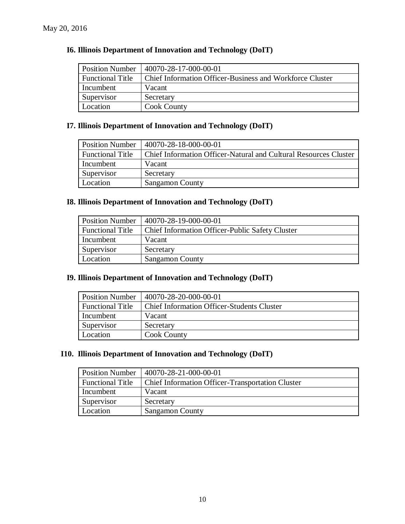| <b>I6. Illinois Department of Innovation and Technology (DoIT)</b> |  |
|--------------------------------------------------------------------|--|
|--------------------------------------------------------------------|--|

| <b>Position Number</b>  | 40070-28-17-000-00-01                                    |  |
|-------------------------|----------------------------------------------------------|--|
| <b>Functional Title</b> | Chief Information Officer-Business and Workforce Cluster |  |
| Incumbent               | Vacant                                                   |  |
| Supervisor              | Secretary                                                |  |
| Location                | <b>Cook County</b>                                       |  |

### **I7. Illinois Department of Innovation and Technology (DoIT)**

| <b>Position Number</b>  | 40070-28-18-000-00-01                                                   |  |
|-------------------------|-------------------------------------------------------------------------|--|
| <b>Functional Title</b> | <b>Chief Information Officer-Natural and Cultural Resources Cluster</b> |  |
| Incumbent               | Vacant                                                                  |  |
| Supervisor              | Secretary                                                               |  |
| Location                | <b>Sangamon County</b>                                                  |  |

### **I8. Illinois Department of Innovation and Technology (DoIT)**

| <b>Position Number</b>  | 40070-28-19-000-00-01                                  |  |
|-------------------------|--------------------------------------------------------|--|
| <b>Functional Title</b> | <b>Chief Information Officer-Public Safety Cluster</b> |  |
| Incumbent               | Vacant                                                 |  |
| Supervisor              | Secretary                                              |  |
| Location                | <b>Sangamon County</b>                                 |  |

### **I9. Illinois Department of Innovation and Technology (DoIT)**

| <b>Position Number</b>  | 40070-28-20-000-00-01                             |  |
|-------------------------|---------------------------------------------------|--|
| <b>Functional Title</b> | <b>Chief Information Officer-Students Cluster</b> |  |
| Incumbent               | Vacant                                            |  |
| Supervisor              | Secretary                                         |  |
| Location                | <b>Cook County</b>                                |  |

### **I10. Illinois Department of Innovation and Technology (DoIT)**

| <b>Position Number</b>  | 40070-28-21-000-00-01                                   |  |
|-------------------------|---------------------------------------------------------|--|
| <b>Functional Title</b> | <b>Chief Information Officer-Transportation Cluster</b> |  |
| Incumbent               | Vacant                                                  |  |
| Supervisor              | Secretary                                               |  |
| Location                | <b>Sangamon County</b>                                  |  |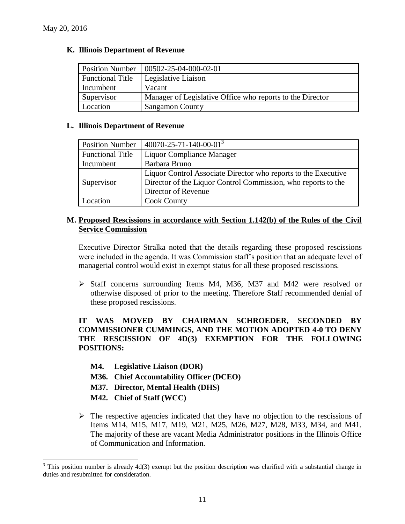### **K. Illinois Department of Revenue**

| <b>Position Number</b>  | 00502-25-04-000-02-01                                     |  |
|-------------------------|-----------------------------------------------------------|--|
| <b>Functional Title</b> | Legislative Liaison                                       |  |
| Incumbent               | Vacant                                                    |  |
| Supervisor              | Manager of Legislative Office who reports to the Director |  |
| Location                | <b>Sangamon County</b>                                    |  |

### **L. Illinois Department of Revenue**

| <b>Position Number</b>                                                                                                                                               | $40070 - 25 - 71 - 140 - 00 - 01^3$ |  |
|----------------------------------------------------------------------------------------------------------------------------------------------------------------------|-------------------------------------|--|
| <b>Functional Title</b>                                                                                                                                              | Liquor Compliance Manager           |  |
| Incumbent                                                                                                                                                            | Barbara Bruno                       |  |
| Liquor Control Associate Director who reports to the Executive<br>Director of the Liquor Control Commission, who reports to the<br>Supervisor<br>Director of Revenue |                                     |  |
| Location                                                                                                                                                             | <b>Cook County</b>                  |  |

### **M. Proposed Rescissions in accordance with Section 1.142(b) of the Rules of the Civil Service Commission**

Executive Director Stralka noted that the details regarding these proposed rescissions were included in the agenda. It was Commission staff's position that an adequate level of managerial control would exist in exempt status for all these proposed rescissions.

 Staff concerns surrounding Items M4, M36, M37 and M42 were resolved or otherwise disposed of prior to the meeting. Therefore Staff recommended denial of these proposed rescissions.

### **IT WAS MOVED BY CHAIRMAN SCHROEDER, SECONDED BY COMMISSIONER CUMMINGS, AND THE MOTION ADOPTED 4-0 TO DENY THE RESCISSION OF 4D(3) EXEMPTION FOR THE FOLLOWING POSITIONS:**

- **M4. Legislative Liaison (DOR)**
- **M36. Chief Accountability Officer (DCEO)**
- **M37. Director, Mental Health (DHS)**
- **M42. Chief of Staff (WCC)**

 $\overline{a}$ 

 $\triangleright$  The respective agencies indicated that they have no objection to the rescissions of Items M14, M15, M17, M19, M21, M25, M26, M27, M28, M33, M34, and M41. The majority of these are vacant Media Administrator positions in the Illinois Office of Communication and Information.

<sup>&</sup>lt;sup>3</sup> This position number is already 4d(3) exempt but the position description was clarified with a substantial change in duties and resubmitted for consideration.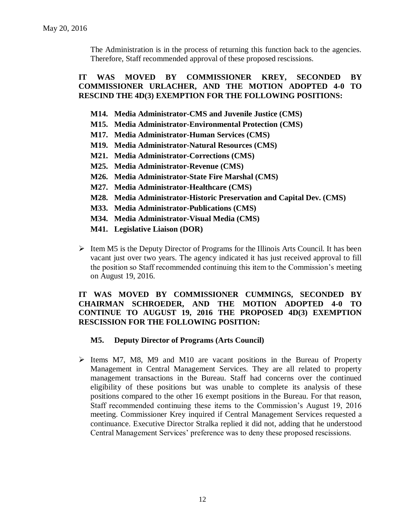The Administration is in the process of returning this function back to the agencies. Therefore, Staff recommended approval of these proposed rescissions.

### **IT WAS MOVED BY COMMISSIONER KREY, SECONDED BY COMMISSIONER URLACHER, AND THE MOTION ADOPTED 4-0 TO RESCIND THE 4D(3) EXEMPTION FOR THE FOLLOWING POSITIONS:**

- **M14. Media Administrator-CMS and Juvenile Justice (CMS)**
- **M15. Media Administrator-Environmental Protection (CMS)**
- **M17. Media Administrator-Human Services (CMS)**
- **M19. Media Administrator-Natural Resources (CMS)**
- **M21. Media Administrator-Corrections (CMS)**
- **M25. Media Administrator-Revenue (CMS)**
- **M26. Media Administrator-State Fire Marshal (CMS)**
- **M27. Media Administrator-Healthcare (CMS)**
- **M28. Media Administrator-Historic Preservation and Capital Dev. (CMS)**
- **M33. Media Administrator-Publications (CMS)**
- **M34. Media Administrator-Visual Media (CMS)**
- **M41. Legislative Liaison (DOR)**
- $\triangleright$  Item M5 is the Deputy Director of Programs for the Illinois Arts Council. It has been vacant just over two years. The agency indicated it has just received approval to fill the position so Staff recommended continuing this item to the Commission's meeting on August 19, 2016.

### **IT WAS MOVED BY COMMISSIONER CUMMINGS, SECONDED BY CHAIRMAN SCHROEDER, AND THE MOTION ADOPTED 4-0 TO CONTINUE TO AUGUST 19, 2016 THE PROPOSED 4D(3) EXEMPTION RESCISSION FOR THE FOLLOWING POSITION:**

### **M5. Deputy Director of Programs (Arts Council)**

 Items M7, M8, M9 and M10 are vacant positions in the Bureau of Property Management in Central Management Services. They are all related to property management transactions in the Bureau. Staff had concerns over the continued eligibility of these positions but was unable to complete its analysis of these positions compared to the other 16 exempt positions in the Bureau. For that reason, Staff recommended continuing these items to the Commission's August 19, 2016 meeting. Commissioner Krey inquired if Central Management Services requested a continuance. Executive Director Stralka replied it did not, adding that he understood Central Management Services' preference was to deny these proposed rescissions.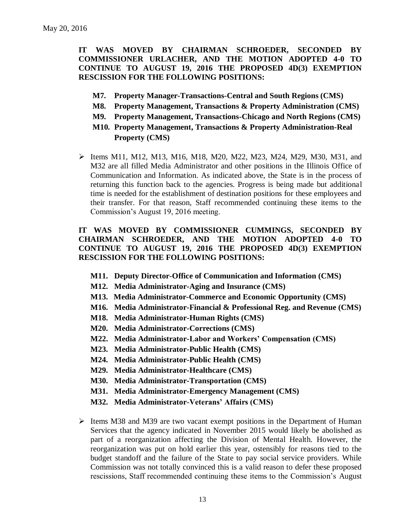**IT WAS MOVED BY CHAIRMAN SCHROEDER, SECONDED BY COMMISSIONER URLACHER, AND THE MOTION ADOPTED 4-0 TO CONTINUE TO AUGUST 19, 2016 THE PROPOSED 4D(3) EXEMPTION RESCISSION FOR THE FOLLOWING POSITIONS:**

- **M7. Property Manager-Transactions-Central and South Regions (CMS)**
- **M8. Property Management, Transactions & Property Administration (CMS)**
- **M9. Property Management, Transactions-Chicago and North Regions (CMS)**
- **M10. Property Management, Transactions & Property Administration-Real Property (CMS)**
- $\triangleright$  Items M11, M12, M13, M16, M18, M20, M22, M23, M24, M29, M30, M31, and M32 are all filled Media Administrator and other positions in the Illinois Office of Communication and Information. As indicated above, the State is in the process of returning this function back to the agencies. Progress is being made but additional time is needed for the establishment of destination positions for these employees and their transfer. For that reason, Staff recommended continuing these items to the Commission's August 19, 2016 meeting.

### **IT WAS MOVED BY COMMISSIONER CUMMINGS, SECONDED BY CHAIRMAN SCHROEDER, AND THE MOTION ADOPTED 4-0 TO CONTINUE TO AUGUST 19, 2016 THE PROPOSED 4D(3) EXEMPTION RESCISSION FOR THE FOLLOWING POSITIONS:**

- **M11. Deputy Director-Office of Communication and Information (CMS)**
- **M12. Media Administrator-Aging and Insurance (CMS)**
- **M13. Media Administrator-Commerce and Economic Opportunity (CMS)**
- **M16. Media Administrator-Financial & Professional Reg. and Revenue (CMS)**
- **M18. Media Administrator-Human Rights (CMS)**
- **M20. Media Administrator-Corrections (CMS)**
- **M22. Media Administrator-Labor and Workers' Compensation (CMS)**
- **M23. Media Administrator-Public Health (CMS)**
- **M24. Media Administrator-Public Health (CMS)**
- **M29. Media Administrator-Healthcare (CMS)**
- **M30. Media Administrator-Transportation (CMS)**
- **M31. Media Administrator-Emergency Management (CMS)**
- **M32. Media Administrator-Veterans' Affairs (CMS)**
- $\geq$  Items M38 and M39 are two vacant exempt positions in the Department of Human Services that the agency indicated in November 2015 would likely be abolished as part of a reorganization affecting the Division of Mental Health. However, the reorganization was put on hold earlier this year, ostensibly for reasons tied to the budget standoff and the failure of the State to pay social service providers. While Commission was not totally convinced this is a valid reason to defer these proposed rescissions, Staff recommended continuing these items to the Commission's August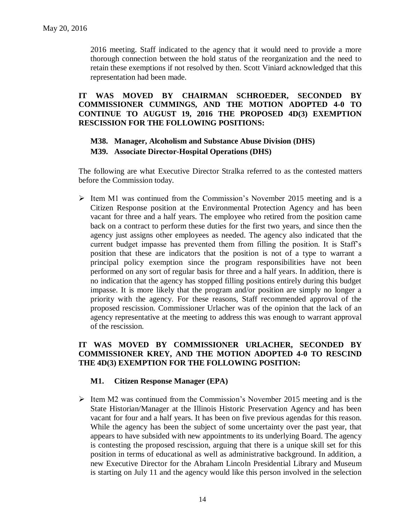2016 meeting. Staff indicated to the agency that it would need to provide a more thorough connection between the hold status of the reorganization and the need to retain these exemptions if not resolved by then. Scott Viniard acknowledged that this representation had been made.

**IT WAS MOVED BY CHAIRMAN SCHROEDER, SECONDED BY COMMISSIONER CUMMINGS, AND THE MOTION ADOPTED 4-0 TO CONTINUE TO AUGUST 19, 2016 THE PROPOSED 4D(3) EXEMPTION RESCISSION FOR THE FOLLOWING POSITIONS:**

### **M38. Manager, Alcoholism and Substance Abuse Division (DHS) M39. Associate Director-Hospital Operations (DHS)**

The following are what Executive Director Stralka referred to as the contested matters before the Commission today.

 $\triangleright$  Item M1 was continued from the Commission's November 2015 meeting and is a Citizen Response position at the Environmental Protection Agency and has been vacant for three and a half years. The employee who retired from the position came back on a contract to perform these duties for the first two years, and since then the agency just assigns other employees as needed. The agency also indicated that the current budget impasse has prevented them from filling the position. It is Staff's position that these are indicators that the position is not of a type to warrant a principal policy exemption since the program responsibilities have not been performed on any sort of regular basis for three and a half years. In addition, there is no indication that the agency has stopped filling positions entirely during this budget impasse. It is more likely that the program and/or position are simply no longer a priority with the agency. For these reasons, Staff recommended approval of the proposed rescission. Commissioner Urlacher was of the opinion that the lack of an agency representative at the meeting to address this was enough to warrant approval of the rescission.

### **IT WAS MOVED BY COMMISSIONER URLACHER, SECONDED BY COMMISSIONER KREY, AND THE MOTION ADOPTED 4-0 TO RESCIND THE 4D(3) EXEMPTION FOR THE FOLLOWING POSITION:**

### **M1. Citizen Response Manager (EPA)**

 $\geq$  Item M2 was continued from the Commission's November 2015 meeting and is the State Historian/Manager at the Illinois Historic Preservation Agency and has been vacant for four and a half years. It has been on five previous agendas for this reason. While the agency has been the subject of some uncertainty over the past year, that appears to have subsided with new appointments to its underlying Board. The agency is contesting the proposed rescission, arguing that there is a unique skill set for this position in terms of educational as well as administrative background. In addition, a new Executive Director for the Abraham Lincoln Presidential Library and Museum is starting on July 11 and the agency would like this person involved in the selection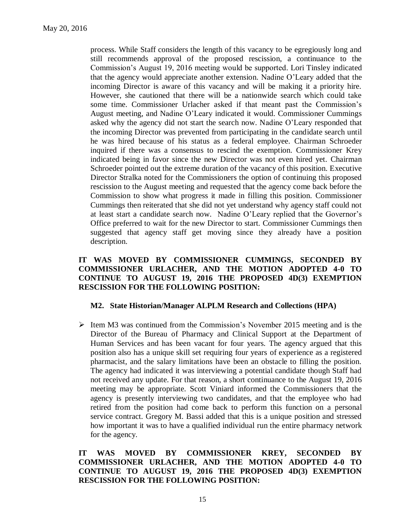process. While Staff considers the length of this vacancy to be egregiously long and still recommends approval of the proposed rescission, a continuance to the Commission's August 19, 2016 meeting would be supported. Lori Tinsley indicated that the agency would appreciate another extension. Nadine O'Leary added that the incoming Director is aware of this vacancy and will be making it a priority hire. However, she cautioned that there will be a nationwide search which could take some time. Commissioner Urlacher asked if that meant past the Commission's August meeting, and Nadine O'Leary indicated it would. Commissioner Cummings asked why the agency did not start the search now. Nadine O'Leary responded that the incoming Director was prevented from participating in the candidate search until he was hired because of his status as a federal employee. Chairman Schroeder inquired if there was a consensus to rescind the exemption. Commissioner Krey indicated being in favor since the new Director was not even hired yet. Chairman Schroeder pointed out the extreme duration of the vacancy of this position. Executive Director Stralka noted for the Commissioners the option of continuing this proposed rescission to the August meeting and requested that the agency come back before the Commission to show what progress it made in filling this position. Commissioner Cummings then reiterated that she did not yet understand why agency staff could not at least start a candidate search now. Nadine O'Leary replied that the Governor's Office preferred to wait for the new Director to start. Commissioner Cummings then suggested that agency staff get moving since they already have a position description.

### **IT WAS MOVED BY COMMISSIONER CUMMINGS, SECONDED BY COMMISSIONER URLACHER, AND THE MOTION ADOPTED 4-0 TO CONTINUE TO AUGUST 19, 2016 THE PROPOSED 4D(3) EXEMPTION RESCISSION FOR THE FOLLOWING POSITION:**

### **M2. State Historian/Manager ALPLM Research and Collections (HPA)**

 $\geq$  Item M3 was continued from the Commission's November 2015 meeting and is the Director of the Bureau of Pharmacy and Clinical Support at the Department of Human Services and has been vacant for four years. The agency argued that this position also has a unique skill set requiring four years of experience as a registered pharmacist, and the salary limitations have been an obstacle to filling the position. The agency had indicated it was interviewing a potential candidate though Staff had not received any update. For that reason, a short continuance to the August 19, 2016 meeting may be appropriate. Scott Viniard informed the Commissioners that the agency is presently interviewing two candidates, and that the employee who had retired from the position had come back to perform this function on a personal service contract. Gregory M. Bassi added that this is a unique position and stressed how important it was to have a qualified individual run the entire pharmacy network for the agency.

### **IT WAS MOVED BY COMMISSIONER KREY, SECONDED BY COMMISSIONER URLACHER, AND THE MOTION ADOPTED 4-0 TO CONTINUE TO AUGUST 19, 2016 THE PROPOSED 4D(3) EXEMPTION RESCISSION FOR THE FOLLOWING POSITION:**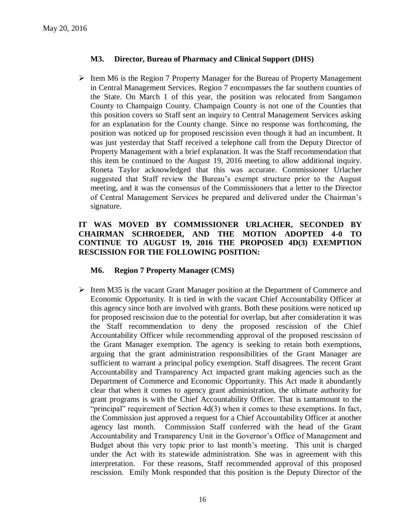### **M3. Director, Bureau of Pharmacy and Clinical Support (DHS)**

 $\triangleright$  Item M6 is the Region 7 Property Manager for the Bureau of Property Management in Central Management Services. Region 7 encompasses the far southern counties of the State. On March 1 of this year, the position was relocated from Sangamon County to Champaign County. Champaign County is not one of the Counties that this position covers so Staff sent an inquiry to Central Management Services asking for an explanation for the County change. Since no response was forthcoming, the position was noticed up for proposed rescission even though it had an incumbent. It was just yesterday that Staff received a telephone call from the Deputy Director of Property Management with a brief explanation. It was the Staff recommendation that this item be continued to the August 19, 2016 meeting to allow additional inquiry. Roneta Taylor acknowledged that this was accurate. Commissioner Urlacher suggested that Staff review the Bureau's exempt structure prior to the August meeting, and it was the consensus of the Commissioners that a letter to the Director of Central Management Services be prepared and delivered under the Chairman's signature.

### **IT WAS MOVED BY COMMISSIONER URLACHER, SECONDED BY CHAIRMAN SCHROEDER, AND THE MOTION ADOPTED 4-0 TO CONTINUE TO AUGUST 19, 2016 THE PROPOSED 4D(3) EXEMPTION RESCISSION FOR THE FOLLOWING POSITION:**

### **M6. Region 7 Property Manager (CMS)**

 $\triangleright$  Item M35 is the vacant Grant Manager position at the Department of Commerce and Economic Opportunity. It is tied in with the vacant Chief Accountability Officer at this agency since both are involved with grants. Both these positions were noticed up for proposed rescission due to the potential for overlap, but after consideration it was the Staff recommendation to deny the proposed rescission of the Chief Accountability Officer while recommending approval of the proposed rescission of the Grant Manager exemption. The agency is seeking to retain both exemptions, arguing that the grant administration responsibilities of the Grant Manager are sufficient to warrant a principal policy exemption. Staff disagrees. The recent Grant Accountability and Transparency Act impacted grant making agencies such as the Department of Commerce and Economic Opportunity. This Act made it abundantly clear that when it comes to agency grant administration, the ultimate authority for grant programs is with the Chief Accountability Officer. That is tantamount to the "principal" requirement of Section 4d(3) when it comes to these exemptions. In fact, the Commission just approved a request for a Chief Accountability Officer at another agency last month. Commission Staff conferred with the head of the Grant Accountability and Transparency Unit in the Governor's Office of Management and Budget about this very topic prior to last month's meeting. This unit is charged under the Act with its statewide administration. She was in agreement with this interpretation. For these reasons, Staff recommended approval of this proposed rescission. Emily Monk responded that this position is the Deputy Director of the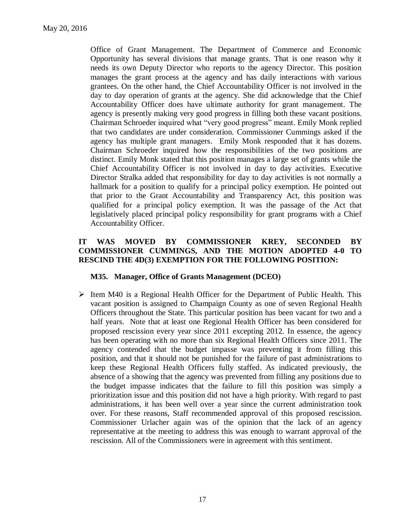Office of Grant Management. The Department of Commerce and Economic Opportunity has several divisions that manage grants. That is one reason why it needs its own Deputy Director who reports to the agency Director. This position manages the grant process at the agency and has daily interactions with various grantees. On the other hand, the Chief Accountability Officer is not involved in the day to day operation of grants at the agency. She did acknowledge that the Chief Accountability Officer does have ultimate authority for grant management. The agency is presently making very good progress in filling both these vacant positions. Chairman Schroeder inquired what "very good progress" meant. Emily Monk replied that two candidates are under consideration. Commissioner Cummings asked if the agency has multiple grant managers. Emily Monk responded that it has dozens. Chairman Schroeder inquired how the responsibilities of the two positions are distinct. Emily Monk stated that this position manages a large set of grants while the Chief Accountability Officer is not involved in day to day activities. Executive Director Stralka added that responsibility for day to day activities is not normally a hallmark for a position to qualify for a principal policy exemption. He pointed out that prior to the Grant Accountability and Transparency Act, this position was qualified for a principal policy exemption. It was the passage of the Act that legislatively placed principal policy responsibility for grant programs with a Chief Accountability Officer.

### **IT WAS MOVED BY COMMISSIONER KREY, SECONDED BY COMMISSIONER CUMMINGS, AND THE MOTION ADOPTED 4-0 TO RESCIND THE 4D(3) EXEMPTION FOR THE FOLLOWING POSITION:**

### **M35. Manager, Office of Grants Management (DCEO)**

 $\triangleright$  Item M40 is a Regional Health Officer for the Department of Public Health. This vacant position is assigned to Champaign County as one of seven Regional Health Officers throughout the State. This particular position has been vacant for two and a half years. Note that at least one Regional Health Officer has been considered for proposed rescission every year since 2011 excepting 2012. In essence, the agency has been operating with no more than six Regional Health Officers since 2011. The agency contended that the budget impasse was preventing it from filling this position, and that it should not be punished for the failure of past administrations to keep these Regional Health Officers fully staffed. As indicated previously, the absence of a showing that the agency was prevented from filling any positions due to the budget impasse indicates that the failure to fill this position was simply a prioritization issue and this position did not have a high priority. With regard to past administrations, it has been well over a year since the current administration took over. For these reasons, Staff recommended approval of this proposed rescission. Commissioner Urlacher again was of the opinion that the lack of an agency representative at the meeting to address this was enough to warrant approval of the rescission. All of the Commissioners were in agreement with this sentiment.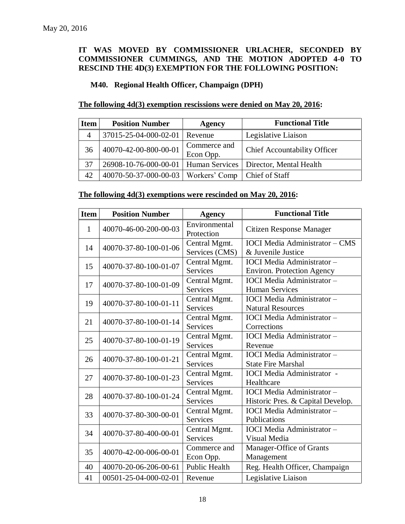### **IT WAS MOVED BY COMMISSIONER URLACHER, SECONDED BY COMMISSIONER CUMMINGS, AND THE MOTION ADOPTED 4-0 TO RESCIND THE 4D(3) EXEMPTION FOR THE FOLLOWING POSITION:**

## **M40. Regional Health Officer, Champaign (DPH)**

### **The following 4d(3) exemption rescissions were denied on May 20, 2016:**

| <b>Item</b>    | <b>Position Number</b>                | Agency                    | <b>Functional Title</b>                                          |
|----------------|---------------------------------------|---------------------------|------------------------------------------------------------------|
| $\overline{A}$ | $37015 - 25 - 04 - 000 - 02 - 01$     | Revenue                   | Legislative Liaison                                              |
| 36             | 40070-42-00-800-00-01                 | Commerce and<br>Econ Opp. | <b>Chief Accountability Officer</b>                              |
| 37             |                                       |                           | 26908-10-76-000-00-01   Human Services   Director, Mental Health |
| 42             | 40070-50-37-000-00-03   Workers' Comp |                           | Chief of Staff                                                   |

### **The following 4d(3) exemptions were rescinded on May 20, 2016:**

| <b>Item</b> | <b>Position Number</b> | <b>Agency</b>                    | <b>Functional Title</b>                                                |
|-------------|------------------------|----------------------------------|------------------------------------------------------------------------|
| 1           | 40070-46-00-200-00-03  | Environmental<br>Protection      | Citizen Response Manager                                               |
| 14          | 40070-37-80-100-01-06  | Central Mgmt.<br>Services (CMS)  | <b>IOCI</b> Media Administrator - CMS<br>& Juvenile Justice            |
| 15          | 40070-37-80-100-01-07  | Central Mgmt.<br><b>Services</b> | <b>IOCI</b> Media Administrator -<br><b>Environ. Protection Agency</b> |
| 17          | 40070-37-80-100-01-09  | Central Mgmt.<br><b>Services</b> | <b>IOCI</b> Media Administrator -<br><b>Human Services</b>             |
| 19          | 40070-37-80-100-01-11  | Central Mgmt.<br><b>Services</b> | <b>IOCI</b> Media Administrator-<br><b>Natural Resources</b>           |
| 21          | 40070-37-80-100-01-14  | Central Mgmt.<br><b>Services</b> | <b>IOCI</b> Media Administrator -<br>Corrections                       |
| 25          | 40070-37-80-100-01-19  | Central Mgmt.<br><b>Services</b> | <b>IOCI</b> Media Administrator -<br>Revenue                           |
| 26          | 40070-37-80-100-01-21  | Central Mgmt.<br><b>Services</b> | <b>IOCI</b> Media Administrator-<br><b>State Fire Marshal</b>          |
| 27          | 40070-37-80-100-01-23  | Central Mgmt.<br><b>Services</b> | <b>IOCI</b> Media Administrator -<br>Healthcare                        |
| 28          | 40070-37-80-100-01-24  | Central Mgmt.<br><b>Services</b> | <b>IOCI</b> Media Administrator -<br>Historic Pres. & Capital Develop. |
| 33          | 40070-37-80-300-00-01  | Central Mgmt.<br><b>Services</b> | <b>IOCI</b> Media Administrator -<br>Publications                      |
| 34          | 40070-37-80-400-00-01  | Central Mgmt.<br><b>Services</b> | <b>IOCI</b> Media Administrator -<br>Visual Media                      |
| 35          | 40070-42-00-006-00-01  | Commerce and<br>Econ Opp.        | Manager-Office of Grants<br>Management                                 |
| 40          | 40070-20-06-206-00-61  | <b>Public Health</b>             | Reg. Health Officer, Champaign                                         |
| 41          | 00501-25-04-000-02-01  | Revenue                          | Legislative Liaison                                                    |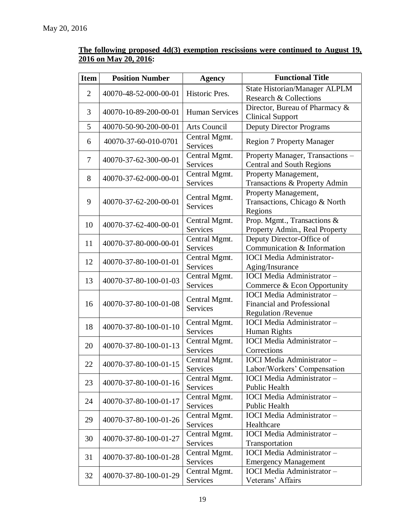### **The following proposed 4d(3) exemption rescissions were continued to August 19, 2016 on May 20, 2016:**

| <b>Item</b>    | <b>Position Number</b> | <b>Agency</b>                    | <b>Functional Title</b>                                              |
|----------------|------------------------|----------------------------------|----------------------------------------------------------------------|
| $\overline{2}$ |                        | Historic Pres.                   | <b>State Historian/Manager ALPLM</b>                                 |
|                | 40070-48-52-000-00-01  |                                  | Research & Collections                                               |
| 3              | 40070-10-89-200-00-01  | <b>Human Services</b>            | Director, Bureau of Pharmacy &                                       |
|                |                        |                                  | <b>Clinical Support</b>                                              |
| 5              | 40070-50-90-200-00-01  | Arts Council                     | <b>Deputy Director Programs</b>                                      |
| 6              | 40070-37-60-010-0701   | Central Mgmt.                    | <b>Region 7 Property Manager</b>                                     |
|                |                        | <b>Services</b>                  |                                                                      |
| 7              | 40070-37-62-300-00-01  | Central Mgmt.<br><b>Services</b> | Property Manager, Transactions -<br><b>Central and South Regions</b> |
|                |                        |                                  |                                                                      |
| 8              | 40070-37-62-000-00-01  | Central Mgmt.<br>Services        | Property Management,                                                 |
|                |                        |                                  | Transactions & Property Admin                                        |
| 9              | 40070-37-62-200-00-01  | Central Mgmt.                    | Property Management,<br>Transactions, Chicago & North                |
|                |                        | <b>Services</b>                  | Regions                                                              |
|                |                        | Central Mgmt.                    | Prop. Mgmt., Transactions &                                          |
| 10             | 40070-37-62-400-00-01  | <b>Services</b>                  | Property Admin., Real Property                                       |
|                |                        | Central Mgmt.                    | Deputy Director-Office of                                            |
| 11             | 40070-37-80-000-00-01  | <b>Services</b>                  | Communication & Information                                          |
|                |                        | Central Mgmt.                    | <b>IOCI</b> Media Administrator-                                     |
| 12             | 40070-37-80-100-01-01  | Services                         | Aging/Insurance                                                      |
|                |                        | Central Mgmt.                    | <b>IOCI</b> Media Administrator -                                    |
| 13             | 40070-37-80-100-01-03  | <b>Services</b>                  | Commerce & Econ Opportunity                                          |
|                |                        |                                  | <b>IOCI</b> Media Administrator -                                    |
| 16             | 40070-37-80-100-01-08  | Central Mgmt.                    | <b>Financial and Professional</b>                                    |
|                |                        | <b>Services</b>                  | <b>Regulation</b> / Revenue                                          |
|                |                        | Central Mgmt.                    | IOCI Media Administrator-                                            |
| 18             | 40070-37-80-100-01-10  | <b>Services</b>                  | Human Rights                                                         |
|                |                        | Central Mgmt.                    | <b>IOCI</b> Media Administrator-                                     |
| 20             | 40070-37-80-100-01-13  | Services                         | Corrections                                                          |
|                |                        | Central Mgmt.                    | <b>IOCI</b> Media Administrator-                                     |
| 22             | 40070-37-80-100-01-15  | Services                         | Labor/Workers' Compensation                                          |
| 23             | 40070-37-80-100-01-16  | Central Mgmt.                    | IOCI Media Administrator-                                            |
|                |                        | <b>Services</b>                  | Public Health                                                        |
| 24             | 40070-37-80-100-01-17  | Central Mgmt.                    | <b>IOCI</b> Media Administrator -                                    |
|                |                        | Services                         | Public Health                                                        |
| 29             | 40070-37-80-100-01-26  | Central Mgmt.                    | <b>IOCI</b> Media Administrator -                                    |
|                |                        | Services                         | Healthcare                                                           |
|                |                        | Central Mgmt.                    | <b>IOCI</b> Media Administrator -                                    |
| 30             | 40070-37-80-100-01-27  | <b>Services</b>                  | Transportation                                                       |
| 31             | 40070-37-80-100-01-28  | Central Mgmt.                    | <b>IOCI</b> Media Administrator -                                    |
|                |                        | Services                         | <b>Emergency Management</b>                                          |
| 32             | 40070-37-80-100-01-29  | Central Mgmt.                    | <b>IOCI</b> Media Administrator -                                    |
|                |                        | Services                         | Veterans' Affairs                                                    |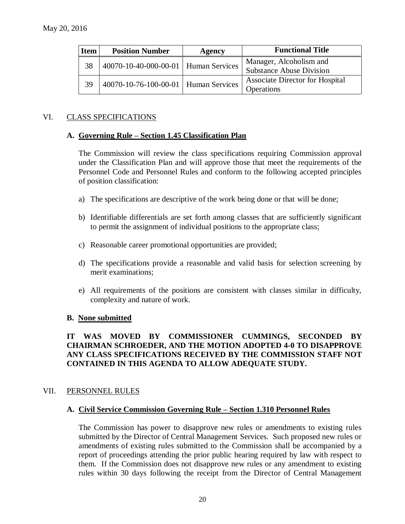| <b>Item</b> | <b>Position Number</b>                 | Agency | <b>Functional Title</b>                              |
|-------------|----------------------------------------|--------|------------------------------------------------------|
| 38          | 40070-10-40-000-00-01   Human Services |        | Manager, Alcoholism and<br>Substance Abuse Division  |
| 39          | 40070-10-76-100-00-01   Human Services |        | <b>Associate Director for Hospital</b><br>Operations |

### VI. CLASS SPECIFICATIONS

### **A. Governing Rule – Section 1.45 Classification Plan**

The Commission will review the class specifications requiring Commission approval under the Classification Plan and will approve those that meet the requirements of the Personnel Code and Personnel Rules and conform to the following accepted principles of position classification:

- a) The specifications are descriptive of the work being done or that will be done;
- b) Identifiable differentials are set forth among classes that are sufficiently significant to permit the assignment of individual positions to the appropriate class;
- c) Reasonable career promotional opportunities are provided;
- d) The specifications provide a reasonable and valid basis for selection screening by merit examinations;
- e) All requirements of the positions are consistent with classes similar in difficulty, complexity and nature of work.

### **B. None submitted**

### **IT WAS MOVED BY COMMISSIONER CUMMINGS, SECONDED BY CHAIRMAN SCHROEDER, AND THE MOTION ADOPTED 4-0 TO DISAPPROVE ANY CLASS SPECIFICATIONS RECEIVED BY THE COMMISSION STAFF NOT CONTAINED IN THIS AGENDA TO ALLOW ADEQUATE STUDY.**

### VII. PERSONNEL RULES

### **A. Civil Service Commission Governing Rule – Section 1.310 Personnel Rules**

The Commission has power to disapprove new rules or amendments to existing rules submitted by the Director of Central Management Services. Such proposed new rules or amendments of existing rules submitted to the Commission shall be accompanied by a report of proceedings attending the prior public hearing required by law with respect to them. If the Commission does not disapprove new rules or any amendment to existing rules within 30 days following the receipt from the Director of Central Management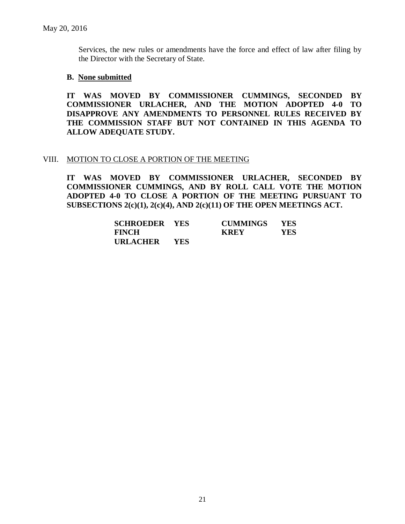Services, the new rules or amendments have the force and effect of law after filing by the Director with the Secretary of State.

### **B. None submitted**

**IT WAS MOVED BY COMMISSIONER CUMMINGS, SECONDED BY COMMISSIONER URLACHER, AND THE MOTION ADOPTED 4-0 TO DISAPPROVE ANY AMENDMENTS TO PERSONNEL RULES RECEIVED BY THE COMMISSION STAFF BUT NOT CONTAINED IN THIS AGENDA TO ALLOW ADEQUATE STUDY.** 

### VIII. MOTION TO CLOSE A PORTION OF THE MEETING

**IT WAS MOVED BY COMMISSIONER URLACHER, SECONDED BY COMMISSIONER CUMMINGS, AND BY ROLL CALL VOTE THE MOTION ADOPTED 4-0 TO CLOSE A PORTION OF THE MEETING PURSUANT TO SUBSECTIONS 2(c)(1), 2(c)(4), AND 2(c)(11) OF THE OPEN MEETINGS ACT.**

| <b>SCHROEDER YES</b> |            | <b>CUMMINGS</b> | <b>YES</b> |
|----------------------|------------|-----------------|------------|
| <b>FINCH</b>         |            | <b>KREY</b>     | YES        |
| <b>URLACHER</b>      | <b>YES</b> |                 |            |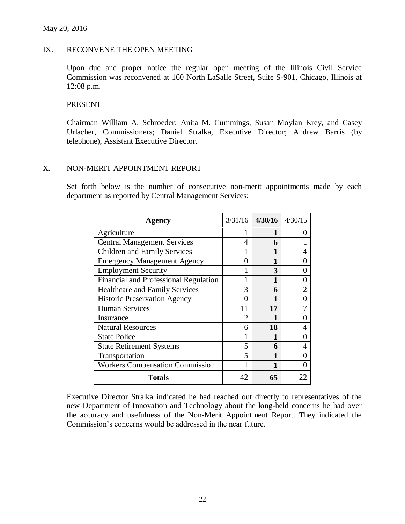### IX. RECONVENE THE OPEN MEETING

Upon due and proper notice the regular open meeting of the Illinois Civil Service Commission was reconvened at 160 North LaSalle Street, Suite S-901, Chicago, Illinois at 12:08 p.m.

#### **PRESENT**

Chairman William A. Schroeder; Anita M. Cummings, Susan Moylan Krey, and Casey Urlacher, Commissioners; Daniel Stralka, Executive Director; Andrew Barris (by telephone), Assistant Executive Director.

#### X. NON-MERIT APPOINTMENT REPORT

Set forth below is the number of consecutive non-merit appointments made by each department as reported by Central Management Services:

| Agency                                       | 3/31/16        | 4/30/16 | 4/30/15 |
|----------------------------------------------|----------------|---------|---------|
| Agriculture                                  | 1              | 1       | 0       |
| <b>Central Management Services</b>           | 4              | 6       |         |
| <b>Children and Family Services</b>          |                |         |         |
| <b>Emergency Management Agency</b>           | 0              |         |         |
| <b>Employment Security</b>                   |                | 3       |         |
| <b>Financial and Professional Regulation</b> |                |         |         |
| <b>Healthcare and Family Services</b>        | 3              | 6       |         |
| <b>Historic Preservation Agency</b>          | 0              |         |         |
| <b>Human Services</b>                        | 11             | 17      |         |
| Insurance                                    | $\overline{2}$ |         |         |
| <b>Natural Resources</b>                     | 6              | 18      |         |
| <b>State Police</b>                          | 1              |         |         |
| <b>State Retirement Systems</b>              | 5              | 6       | 4       |
| Transportation                               | 5              | 1       |         |
| <b>Workers Compensation Commission</b>       | 1              | 1       |         |
| <b>Totals</b>                                | 42             | 65      |         |

Executive Director Stralka indicated he had reached out directly to representatives of the new Department of Innovation and Technology about the long-held concerns he had over the accuracy and usefulness of the Non-Merit Appointment Report. They indicated the Commission's concerns would be addressed in the near future.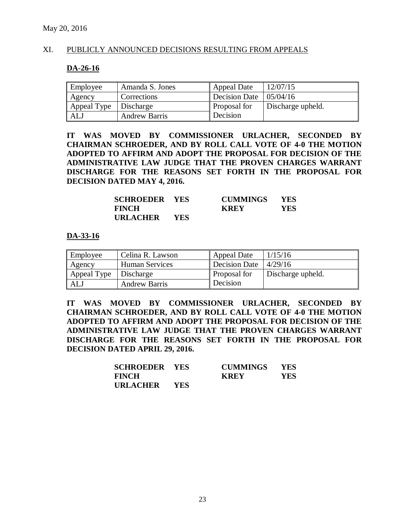### XI. PUBLICLY ANNOUNCED DECISIONS RESULTING FROM APPEALS

#### **DA-26-16**

| Employee    | Amanda S. Jones      | <b>Appeal Date</b>                   | 12/07/15          |
|-------------|----------------------|--------------------------------------|-------------------|
| Agency      | Corrections          | Decision Date $\vert 05/04/16 \vert$ |                   |
| Appeal Type | Discharge            | Proposal for                         | Discharge upheld. |
| ALJ         | <b>Andrew Barris</b> | Decision                             |                   |

**IT WAS MOVED BY COMMISSIONER URLACHER, SECONDED BY CHAIRMAN SCHROEDER, AND BY ROLL CALL VOTE OF 4-0 THE MOTION ADOPTED TO AFFIRM AND ADOPT THE PROPOSAL FOR DECISION OF THE ADMINISTRATIVE LAW JUDGE THAT THE PROVEN CHARGES WARRANT DISCHARGE FOR THE REASONS SET FORTH IN THE PROPOSAL FOR DECISION DATED MAY 4, 2016.**

| <b>SCHROEDER YES</b> |     | <b>CUMMINGS</b> | <b>YES</b> |
|----------------------|-----|-----------------|------------|
| <b>FINCH</b>         |     | <b>KREY</b>     | YES        |
| <b>URLACHER</b>      | YES |                 |            |

#### **DA-33-16**

| Employee    | Celina R. Lawson      | <b>Appeal Date</b> | 1/15/16           |
|-------------|-----------------------|--------------------|-------------------|
| Agency      | <b>Human Services</b> | Decision Date      | 4/29/16           |
| Appeal Type | Discharge             | Proposal for       | Discharge upheld. |
| ALJ         | <b>Andrew Barris</b>  | Decision           |                   |

**IT WAS MOVED BY COMMISSIONER URLACHER, SECONDED BY CHAIRMAN SCHROEDER, AND BY ROLL CALL VOTE OF 4-0 THE MOTION ADOPTED TO AFFIRM AND ADOPT THE PROPOSAL FOR DECISION OF THE ADMINISTRATIVE LAW JUDGE THAT THE PROVEN CHARGES WARRANT DISCHARGE FOR THE REASONS SET FORTH IN THE PROPOSAL FOR DECISION DATED APRIL 29, 2016.**

| <b>SCHROEDER YES</b> |            | <b>CUMMINGS</b> | <b>YES</b> |
|----------------------|------------|-----------------|------------|
| <b>FINCH</b>         |            | <b>KREY</b>     | YES.       |
| URLACHER             | <b>YES</b> |                 |            |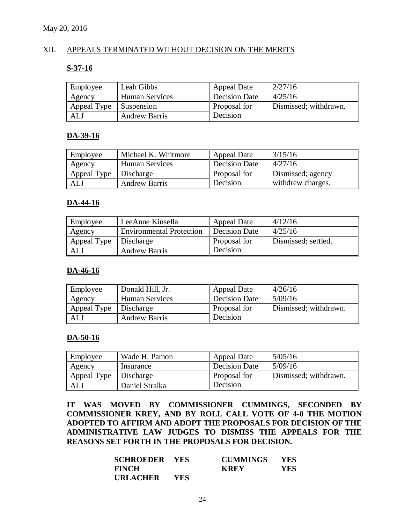### XII. APPEALS TERMINATED WITHOUT DECISION ON THE MERITS

#### **S-37-16**

| Employee    | Leah Gibbs            | <b>Appeal Date</b>   | 2/27/16               |
|-------------|-----------------------|----------------------|-----------------------|
| Agency      | <b>Human Services</b> | <b>Decision Date</b> | 4/25/16               |
| Appeal Type | <b>Suspension</b>     | Proposal for         | Dismissed; withdrawn. |
| ALJ         | <b>Andrew Barris</b>  | Decision             |                       |

### **DA-39-16**

| Employee    | Michael K. Whitmore   | <b>Appeal Date</b>   | 3/15/16           |
|-------------|-----------------------|----------------------|-------------------|
| Agency      | <b>Human Services</b> | <b>Decision Date</b> | 4/27/16           |
| Appeal Type | Discharge             | Proposal for         | Dismissed; agency |
| ALJ         | <b>Andrew Barris</b>  | Decision             | withdrew charges. |

#### **DA-44-16**

| Employee    | LeeAnne Kinsella                | <b>Appeal Date</b>   | 4/12/16             |
|-------------|---------------------------------|----------------------|---------------------|
| Agency      | <b>Environmental Protection</b> | <b>Decision Date</b> | 4/25/16             |
| Appeal Type | Discharge                       | Proposal for         | Dismissed; settled. |
| ALJ         | <b>Andrew Barris</b>            | Decision             |                     |

### **DA-46-16**

| Employee    | Donald Hill, Jr.      | <b>Appeal Date</b> | 4/26/16               |
|-------------|-----------------------|--------------------|-----------------------|
| Agency      | <b>Human Services</b> | Decision Date      | 5/09/16               |
| Appeal Type | Discharge             | Proposal for       | Dismissed; withdrawn. |
| ALJ         | <b>Andrew Barris</b>  | Decision           |                       |

### **DA-50-16**

| Employee    | Wade H. Pamon  | Appeal Date   | 5/05/16               |
|-------------|----------------|---------------|-----------------------|
| Agency      | Insurance      | Decision Date | 5/09/16               |
| Appeal Type | Discharge      | Proposal for  | Dismissed; withdrawn. |
| ALJ         | Daniel Stralka | Decision      |                       |

**IT WAS MOVED BY COMMISSIONER CUMMINGS, SECONDED BY COMMISSIONER KREY, AND BY ROLL CALL VOTE OF 4-0 THE MOTION ADOPTED TO AFFIRM AND ADOPT THE PROPOSALS FOR DECISION OF THE ADMINISTRATIVE LAW JUDGES TO DISMISS THE APPEALS FOR THE REASONS SET FORTH IN THE PROPOSALS FOR DECISION.**

| <b>SCHROEDER YES</b> |      | <b>CUMMINGS</b> | <b>YES</b> |
|----------------------|------|-----------------|------------|
| <b>FINCH</b>         |      | <b>KREY</b>     | YES.       |
| <b>URLACHER</b>      | YES. |                 |            |